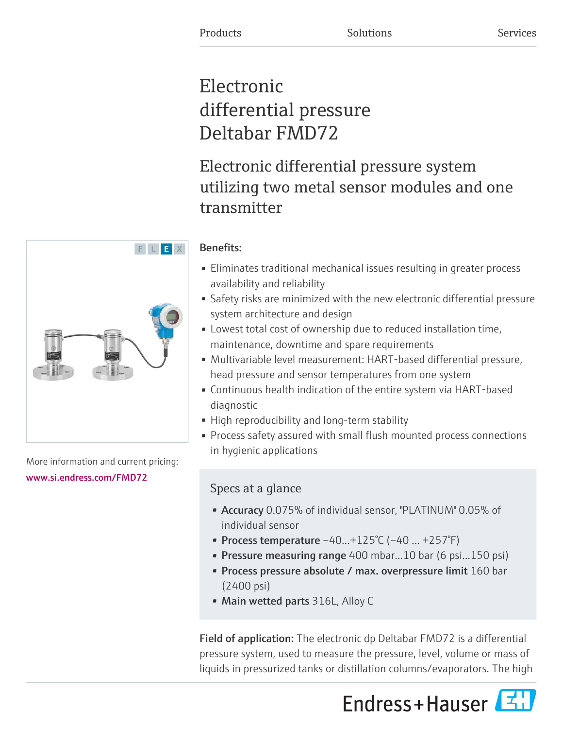# Electronic differential pressure Deltabar FMD72

Electronic differential pressure system utilizing two metal sensor modules and one transmitter

# Benefits:

- Eliminates traditional mechanical issues resulting in greater process availability and reliability
- Safety risks are minimized with the new electronic differential pressure system architecture and design
- Lowest total cost of ownership due to reduced installation time, maintenance, downtime and spare requirements
- Multivariable level measurement: HART-based differential pressure, head pressure and sensor temperatures from one system
- Continuous health indication of the entire system via HART-based diagnostic
- High reproducibility and long-term stability
- Process safety assured with small flush mounted process connections in hygienic applications

# Specs at a glance

- Accuracy 0.075% of individual sensor, "PLATINUM" 0.05% of individual sensor
- Process temperature  $-40...+125^{\circ}C$  ( $-40...+257^{\circ}F$ )
- Pressure measuring range 400 mbar...10 bar (6 psi...150 psi)
- Process pressure absolute / max. overpressure limit 160 bar (2400 psi)
- Main wetted parts 316L, Alloy C

Field of application: The electronic dp Deltabar FMD72 is a differential pressure system, used to measure the pressure, level, volume or mass of liquids in pressurized tanks or distillation columns/evaporators. The high





More information and current pricing: [www.si.endress.com/FMD72](https://www.si.endress.com/FMD72)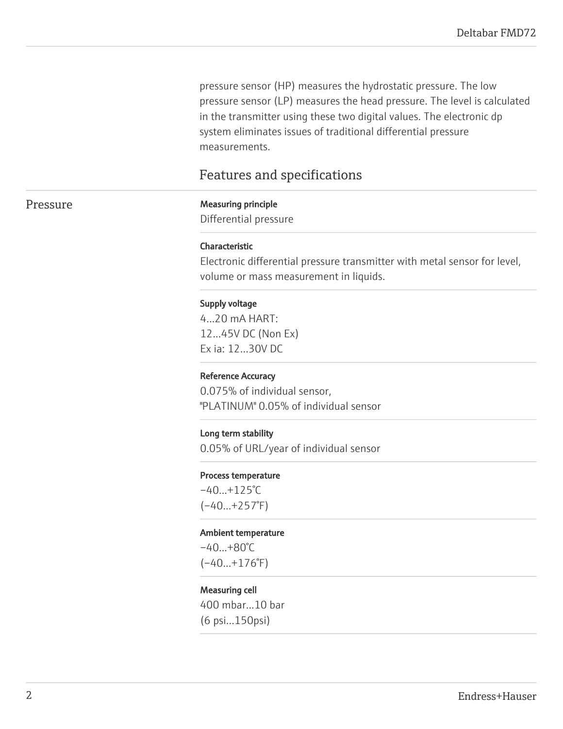pressure sensor (HP) measures the hydrostatic pressure. The low pressure sensor (LP) measures the head pressure. The level is calculated in the transmitter using these two digital values. The electronic dp system eliminates issues of traditional differential pressure measurements.

# Features and specifications

### Pressure Measuring principle

Differential pressure

#### Characteristic

Electronic differential pressure transmitter with metal sensor for level, volume or mass measurement in liquids.

#### Supply voltage

4...20 mA HART: 12...45V DC (Non Ex) Ex ia: 12...30V DC

#### Reference Accuracy

0.075% of individual sensor, "PLATINUM" 0.05% of individual sensor

#### Long term stability

0.05% of URL/year of individual sensor

#### Process temperature

 $-40...+125$ °C  $(-40...+257°F)$ 

#### Ambient temperature

 $-40...+80°C$ (–40...+176°F)

#### Measuring cell

400 mbar...10 bar (6 psi...150psi)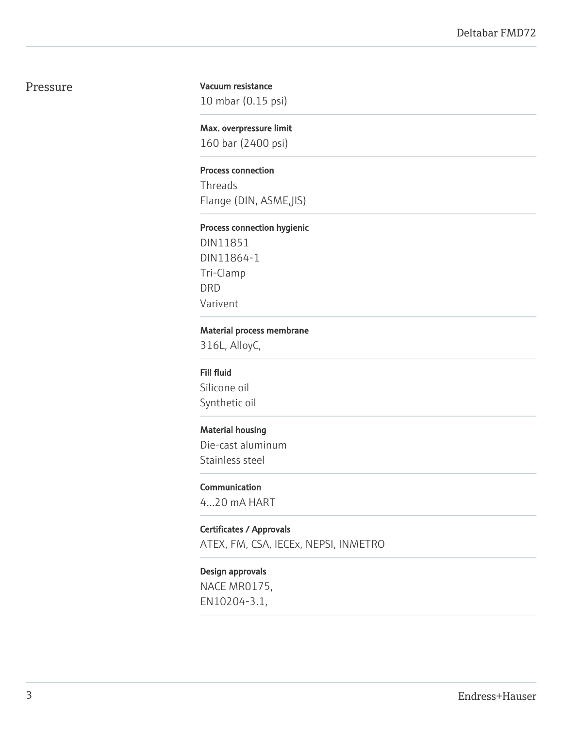# Pressure

#### Vacuum resistance

10 mbar (0.15 psi)

#### Max. overpressure limit

160 bar (2400 psi)

#### Process connection

Threads Flange (DIN, ASME,JIS)

#### Process connection hygienic

DIN11851 DIN11864-1 Tri-Clamp DRD Varivent

#### Material process membrane

316L, AlloyC,

#### Fill fluid

Silicone oil Synthetic oil

#### Material housing

Die-cast aluminum Stainless steel

#### Communication

4...20 mA HART

#### Certificates / Approvals

ATEX, FM, CSA, IECEx, NEPSI, INMETRO

#### Design approvals

NACE MR0175, EN10204-3.1,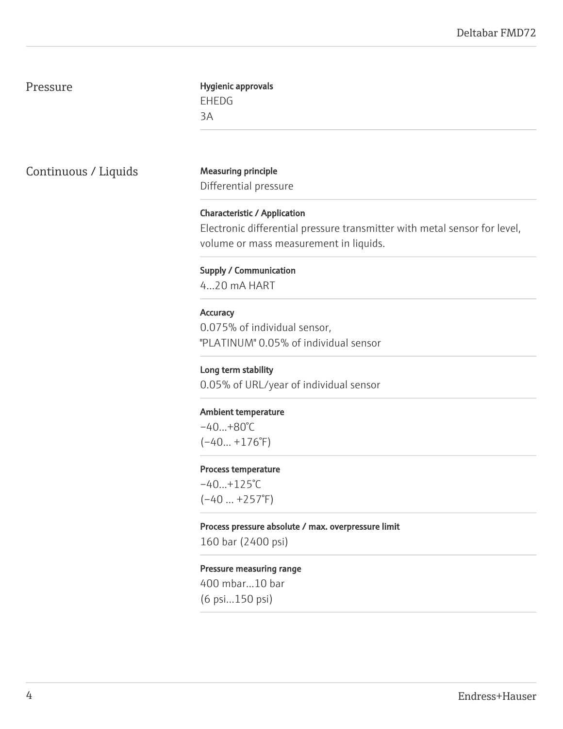# Pressure

# Hygienic approvals EHEDG 3A

Continuous / Liquids Measuring principle

Differential pressure

Characteristic / Application Electronic differential pressure transmitter with metal sensor for level, volume or mass measurement in liquids.

Supply / Communication 4...20 mA HART

**Accuracy** 

0.075% of individual sensor, "PLATINUM" 0.05% of individual sensor

Long term stability 0.05% of URL/year of individual sensor

#### Ambient temperature

 $-40...+80°C$  $(-40... +176°F)$ 

#### Process temperature

 $-40...+125°C$  $(-40 ... +257°F)$ 

#### Process pressure absolute / max. overpressure limit

160 bar (2400 psi)

#### Pressure measuring range

400 mbar...10 bar (6 psi...150 psi)